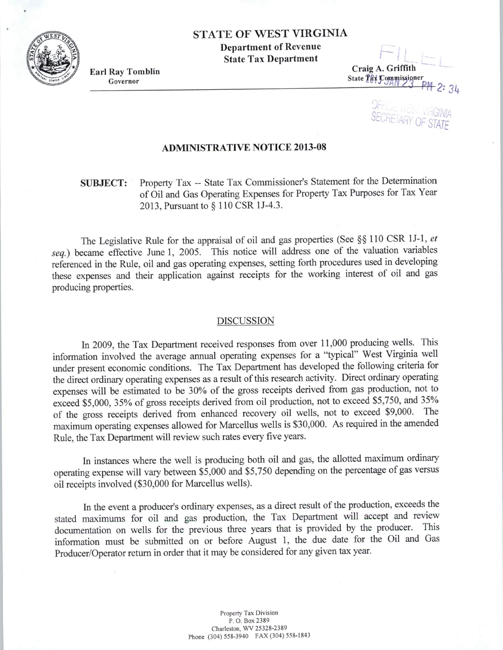# STATE OF WEST VIRGINIA

Department of Revenue State Tax Department

Earl Ray Tomblin Governor

;-- Craig A. Griffith State Thx Commissioner

**SECRETARY** C

## ADMINISTRATIVE NOTICE 2013-08

# SUBJECT: Property Tax -- State Tax Commissioner's Statement for the Determination of Oil and Gas Operating Expenses for Property Tax Purposes for Tax Year 2013, Pursuant to§ 110 CSR lJ-4.3.

The Legislative Rule for the appraisal of oil and gas properties (See §§ 110 CSR lJ-1 , *et*  seq.) became effective June 1, 2005. This notice will address one of the valuation variables referenced in the Rule, oil and gas operating expenses, setting forth procedures used in developing these expenses and their application against receipts for the working interest of oil and gas producing properties.

### DISCUSSION

In 2009, the Tax Department received responses from over <sup>11</sup> ,000 producing wells. This information involved the average annual operating expenses for a "typical" West Virginia well under present economic conditions. The Tax Department has developed the following criteria for the direct ordinary operating expenses as a result of this research activity. Direct ordinary operating expenses will be estimated to be 30% of the gross receipts derived from gas production, not to exceed \$5,000, 35% of gross receipts derived from oil production, not to exceed \$5,750, and 35% of the gross receipts derived from enhanced recovery oil wells, not to exceed \$9,000. The maximum operating expenses allowed for Marcellus wells is \$30,000. As required in the amended Rule, the Tax Department will review such rates every five years.

In instances where the well is producing both oil and gas, the allotted maximum ordinary operating expense will vary between \$5,000 and \$5,750 depending on the percentage of gas versus oil receipts involved (\$30,000 for Marcellus wells).

In the event a producer's ordinary expenses, as a direct result of the production, exceeds the stated maximums for oil and gas production, the Tax Department will accept and review documentation on wells for the previous three years that is provided by the producer. This information must be submitted on or before August 1, the due date for the Oil and Gas Producer/Operator return in order that it may be considered for any given tax year.

> Property Tax Division P. O. Box 2389 Charleston, WV 25328-23 89 Phone (304) 558-3940 FAX (304) 558-1843